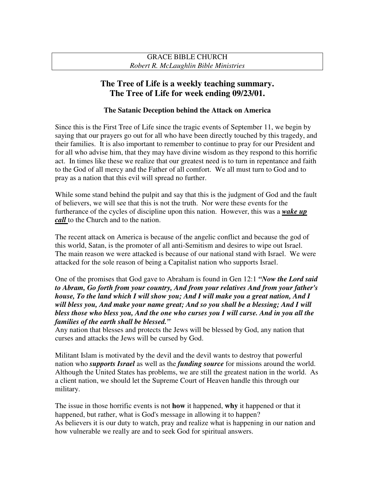# **The Tree of Life is a weekly teaching summary. The Tree of Life for week ending 09/23/01.**

#### **The Satanic Deception behind the Attack on America**

Since this is the First Tree of Life since the tragic events of September 11, we begin by saying that our prayers go out for all who have been directly touched by this tragedy, and their families. It is also important to remember to continue to pray for our President and for all who advise him, that they may have divine wisdom as they respond to this horrific act. In times like these we realize that our greatest need is to turn in repentance and faith to the God of all mercy and the Father of all comfort. We all must turn to God and to pray as a nation that this evil will spread no further.

While some stand behind the pulpit and say that this is the judgment of God and the fault of believers, we will see that this is not the truth. Nor were these events for the furtherance of the cycles of discipline upon this nation. However, this was a *wake up call* to the Church and to the nation.

The recent attack on America is because of the angelic conflict and because the god of this world, Satan, is the promoter of all anti-Semitism and desires to wipe out Israel. The main reason we were attacked is because of our national stand with Israel. We were attacked for the sole reason of being a Capitalist nation who supports Israel.

One of the promises that God gave to Abraham is found in Gen 12:1 *"Now the Lord said to Abram, Go forth from your country, And from your relatives And from your father's house, To the land which I will show you; And I will make you a great nation, And I will bless you, And make your name great; And so you shall be a blessing; And I will bless those who bless you, And the one who curses you I will curse. And in you all the families of the earth shall be blessed."*

Any nation that blesses and protects the Jews will be blessed by God, any nation that curses and attacks the Jews will be cursed by God.

Militant Islam is motivated by the devil and the devil wants to destroy that powerful nation who *supports Israel* as well as the *funding source* for missions around the world. Although the United States has problems, we are still the greatest nation in the world. As a client nation, we should let the Supreme Court of Heaven handle this through our military.

The issue in those horrific events is not **how** it happened, **why** it happened or that it happened, but rather, what is God's message in allowing it to happen? As believers it is our duty to watch, pray and realize what is happening in our nation and how vulnerable we really are and to seek God for spiritual answers.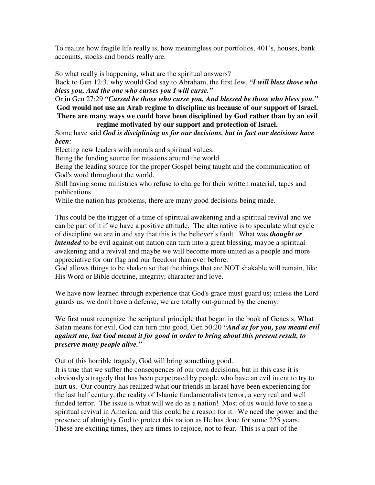To realize how fragile life really is, how meaningless our portfolios, 401's, houses, bank accounts, stocks and bonds really are.

So what really is happening, what are the spiritual answers?

Back to Gen 12:3, why would God say to Abraham, the first Jew, *"I will bless those who bless you, And the one who curses you I will curse."*

Or in Gen 27:29 *"Cursed be those who curse you, And blessed be those who bless you."* **God would not use an Arab regime to discipline us because of our support of Israel. There are many ways we could have been disciplined by God rather than by an evil regime motivated by our support and protection of Israel.**

Some have said *God is disciplining us for our decisions, but in fact our decisions have been:*

Electing new leaders with morals and spiritual values.

Being the funding source for missions around the world.

Being the leading source for the proper Gospel being taught and the communication of God's word throughout the world.

Still having some ministries who refuse to charge for their written material, tapes and publications.

While the nation has problems, there are many good decisions being made.

This could be the trigger of a time of spiritual awakening and a spiritual revival and we can be part of it if we have a positive attitude. The alternative is to speculate what cycle of discipline we are in and say that this is the believer's fault. What was *thought or intended* to be evil against out nation can turn into a great blessing, maybe a spiritual awakening and a revival and maybe we will become more united as a people and more appreciative for our flag and our freedom than ever before.

God allows things to be shaken so that the things that are NOT shakable will remain, like His Word or Bible doctrine, integrity, character and love.

We have now learned through experience that God's grace must guard us; unless the Lord guards us, we don't have a defense, we are totally out-gunned by the enemy.

We first must recognize the scriptural principle that began in the book of Genesis. What Satan means for evil, God can turn into good, Gen 50:20 *"And as for you, you meant evil against me, but God meant it for good in order to bring about this present result, to preserve many people alive."*

Out of this horrible tragedy, God will bring something good.

It is true that we suffer the consequences of our own decisions, but in this case it is obviously a tragedy that has been perpetrated by people who have an evil intent to try to hurt us. Our country has realized what our friends in Israel have been experiencing for the last half century, the reality of Islamic fundamentalists terror, a very real and well funded terror. The issue is what will we do as a nation! Most of us would love to see a spiritual revival in America, and this could be a reason for it. We need the power and the presence of almighty God to protect this nation as He has done for some 225 years. These are exciting times, they are times to rejoice, not to fear. This is a part of the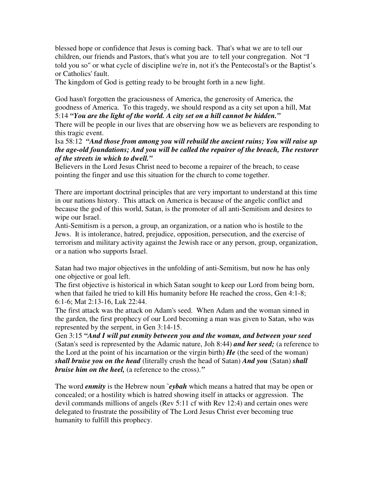blessed hope or confidence that Jesus is coming back. That's what we are to tell our children, our friends and Pastors, that's what you are to tell your congregation. Not "I told you so" or what cycle of discipline we're in, not it's the Pentecostal's or the Baptist's or Catholics' fault.

The kingdom of God is getting ready to be brought forth in a new light.

God hasn't forgotten the graciousness of America, the generosity of America, the goodness of America. To this tragedy, we should respond as a city set upon a hill, Mat 5:14 *"You are the light of the world. A city set on a hill cannot be hidden."*

There will be people in our lives that are observing how we as believers are responding to this tragic event.

Isa 58:12 *"And those from among you will rebuild the ancient ruins; You will raise up the age-old foundations; And you will be called the repairer of the breach, The restorer of the streets in which to dwell."*

Believers in the Lord Jesus Christ need to become a repairer of the breach, to cease pointing the finger and use this situation for the church to come together.

There are important doctrinal principles that are very important to understand at this time in our nations history. This attack on America is because of the angelic conflict and because the god of this world, Satan, is the promoter of all anti-Semitism and desires to wipe our Israel.

Anti-Semitism is a person, a group, an organization, or a nation who is hostile to the Jews. It is intolerance, hatred, prejudice, opposition, persecution, and the exercise of terrorism and military activity against the Jewish race or any person, group, organization, or a nation who supports Israel.

Satan had two major objectives in the unfolding of anti-Semitism, but now he has only one objective or goal left.

The first objective is historical in which Satan sought to keep our Lord from being born, when that failed he tried to kill His humanity before He reached the cross, Gen 4:1-8; 6:1-6; Mat 2:13-16, Luk 22:44.

The first attack was the attack on Adam's seed. When Adam and the woman sinned in the garden, the first prophecy of our Lord becoming a man was given to Satan, who was represented by the serpent, in Gen 3:14-15.

Gen 3:15 *"And I will put enmity between you and the woman, and between your seed* (Satan's seed is represented by the Adamic nature, Joh 8:44) *and her seed;* (a reference to the Lord at the point of his incarnation or the virgin birth) *He* (the seed of the woman) *shall bruise you on the head* (literally crush the head of Satan) *And you* (Satan) *shall bruise him on the heel,* (a reference to the cross).*"*

The word *enmity* is the Hebrew noun *`eybah* which means a hatred that may be open or concealed; or a hostility which is hatred showing itself in attacks or aggression. The devil commands millions of angels (Rev 5:11 cf with Rev 12:4) and certain ones were delegated to frustrate the possibility of The Lord Jesus Christ ever becoming true humanity to fulfill this prophecy.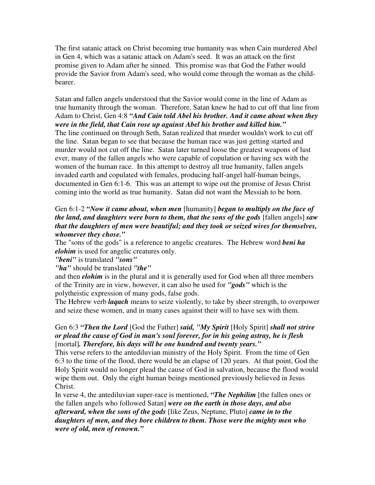The first satanic attack on Christ becoming true humanity was when Cain murdered Abel in Gen 4, which was a satanic attack on Adam's seed. It was an attack on the first promise given to Adam after he sinned. This promise was that God the Father would provide the Savior from Adam's seed, who would come through the woman as the childbearer.

Satan and fallen angels understood that the Savior would come in the line of Adam as true humanity through the woman. Therefore, Satan knew he had to cut off that line from Adam to Christ, Gen 4:8 *"And Cain told Abel his brother. And it came about when they were in the field, that Cain rose up against Abel his brother and killed him."*

The line continued on through Seth, Satan realized that murder wouldn't work to cut off the line. Satan began to see that because the human race was just getting started and murder would not cut off the line. Satan later turned loose the greatest weapons of lust ever, many of the fallen angels who were capable of copulation or having sex with the women of the human race. In this attempt to destroy all true humanity, fallen angels invaded earth and copulated with females, producing half-angel half-human beings, documented in Gen 6:1-6. This was an attempt to wipe out the promise of Jesus Christ coming into the world as true humanity. Satan did not want the Messiah to be born.

## Gen 6:1-2 *"Now it came about, when men* [humanity] *began to multiply on the face of the land, and daughters were born to them, that the sons of the gods* [fallen angels] *saw that the daughters of men were beautiful; and they took or seized wives for themselves, whomever they chose."*

The "sons of the gods" is a reference to angelic creatures. The Hebrew word *beni ha elohim* is used for angelic creatures only.

*"beni"* is translated *"sons"*

## *"ha"* should be translated *"the"*

and then *elohim* is in the plural and it is generally used for God when all three members of the Trinity are in view, however, it can also be used for *"gods"* which is the polytheistic expression of many gods, false gods.

The Hebrew verb *laqach* means to seize violently, to take by sheer strength, to overpower and seize these women, and in many cases against their will to have sex with them.

## Gen 6:3 *"Then the Lord* [God the Father] *said, "My Spirit* [Holy Spirit] *shall not strive or plead the cause of God in man's soul forever, for in his going astray, he is flesh* [mortal]*. Therefore, his days will be one hundred and twenty years."*

This verse refers to the antediluvian ministry of the Holy Spirit. From the time of Gen 6:3 to the time of the flood, there would be an elapse of 120 years. At that point, God the Holy Spirit would no longer plead the cause of God in salvation, because the flood would wipe them out. Only the eight human beings mentioned previously believed in Jesus Christ.

In verse 4, the antediluvian super-race is mentioned, *"The Nephilim* [the fallen ones or the fallen angels who followed Satan] *were on the earth in those days, and also afterward, when the sons of the gods* [like Zeus, Neptune, Pluto] *came in to the daughters of men, and they bore children to them. Those were the mighty men who were of old, men of renown."*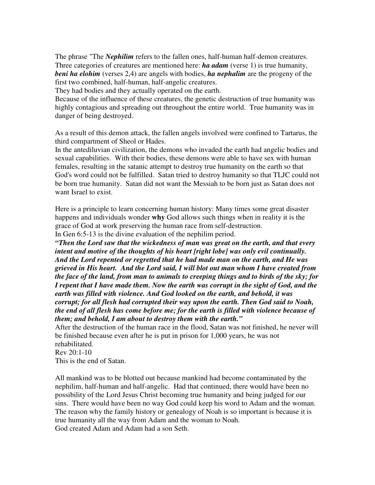The phrase "The *Nephilim* refers to the fallen ones, half-human half-demon creatures. Three categories of creatures are mentioned here: *ha adam* (verse 1) is true humanity, *beni ha elohim* (verses 2,4) are angels with bodies, *ha nephalim* are the progeny of the first two combined, half-human, half-angelic creatures.

They had bodies and they actually operated on the earth.

Because of the influence of these creatures, the genetic destruction of true humanity was highly contagious and spreading out throughout the entire world. True humanity was in danger of being destroyed.

As a result of this demon attack, the fallen angels involved were confined to Tartarus, the third compartment of Sheol or Hades.

In the antediluvian civilization, the demons who invaded the earth had angelic bodies and sexual capabilities. With their bodies, these demons were able to have sex with human females, resulting in the satanic attempt to destroy true humanity on the earth so that God's word could not be fulfilled. Satan tried to destroy humanity so that TLJC could not be born true humanity. Satan did not want the Messiah to be born just as Satan does not want Israel to exist.

Here is a principle to learn concerning human history: Many times some great disaster happens and individuals wonder **why** God allows such things when in reality it is the grace of God at work preserving the human race from self-destruction.

In Gen 6:5-13 is the divine evaluation of the nephilim period.

*"Then the Lord saw that the wickedness of man was great on the earth, and that every intent and motive of the thoughts of his heart [right lobe] was only evil continually. And the Lord repented or regretted that he had made man on the earth, and He was grieved in His heart. And the Lord said, I will blot out man whom I have created from the face of the land, from man to animals to creeping things and to birds of the sky; for I repent that I have made them. Now the earth was corrupt in the sight of God, and the earth was filled with violence. And God looked on the earth, and behold, it was corrupt; for all flesh had corrupted their way upon the earth. Then God said to Noah, the end of all flesh has come before me; for the earth is filled with violence because of them; and behold, I am about to destroy them with the earth."*

After the destruction of the human race in the flood, Satan was not finished, he never will be finished because even after he is put in prison for 1,000 years, he was not rehabilitated.

Rev 20:1-10

This is the end of Satan.

All mankind was to be blotted out because mankind had become contaminated by the nephilim, half-human and half-angelic. Had that continued, there would have been no possibility of the Lord Jesus Christ becoming true humanity and being judged for our sins. There would have been no way God could keep his word to Adam and the woman. The reason why the family history or genealogy of Noah is so important is because it is true humanity all the way from Adam and the woman to Noah. God created Adam and Adam had a son Seth.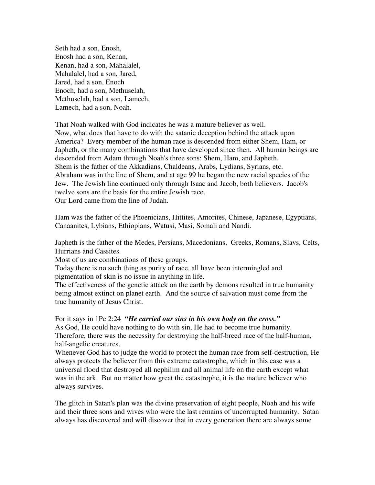Seth had a son, Enosh, Enosh had a son, Kenan, Kenan, had a son, Mahalalel, Mahalalel, had a son, Jared, Jared, had a son, Enoch Enoch, had a son, Methuselah, Methuselah, had a son, Lamech, Lamech, had a son, Noah.

That Noah walked with God indicates he was a mature believer as well. Now, what does that have to do with the satanic deception behind the attack upon America? Every member of the human race is descended from either Shem, Ham, or Japheth, or the many combinations that have developed since then. All human beings are descended from Adam through Noah's three sons: Shem, Ham, and Japheth. Shem is the father of the Akkadians, Chaldeans, Arabs, Lydians, Syrians, etc. Abraham was in the line of Shem, and at age 99 he began the new racial species of the Jew. The Jewish line continued only through Isaac and Jacob, both believers. Jacob's twelve sons are the basis for the entire Jewish race. Our Lord came from the line of Judah.

Ham was the father of the Phoenicians, Hittites, Amorites, Chinese, Japanese, Egyptians, Canaanites, Lybians, Ethiopians, Watusi, Masi, Somali and Nandi.

Japheth is the father of the Medes, Persians, Macedonians, Greeks, Romans, Slavs, Celts, Hurrians and Cassites.

Most of us are combinations of these groups.

Today there is no such thing as purity of race, all have been intermingled and pigmentation of skin is no issue in anything in life.

The effectiveness of the genetic attack on the earth by demons resulted in true humanity being almost extinct on planet earth. And the source of salvation must come from the true humanity of Jesus Christ.

For it says in 1Pe 2:24 *"He carried our sins in his own body on the cross."* As God, He could have nothing to do with sin, He had to become true humanity. Therefore, there was the necessity for destroying the half-breed race of the half-human, half-angelic creatures.

Whenever God has to judge the world to protect the human race from self-destruction, He always protects the believer from this extreme catastrophe, which in this case was a universal flood that destroyed all nephilim and all animal life on the earth except what was in the ark. But no matter how great the catastrophe, it is the mature believer who always survives.

The glitch in Satan's plan was the divine preservation of eight people, Noah and his wife and their three sons and wives who were the last remains of uncorrupted humanity. Satan always has discovered and will discover that in every generation there are always some